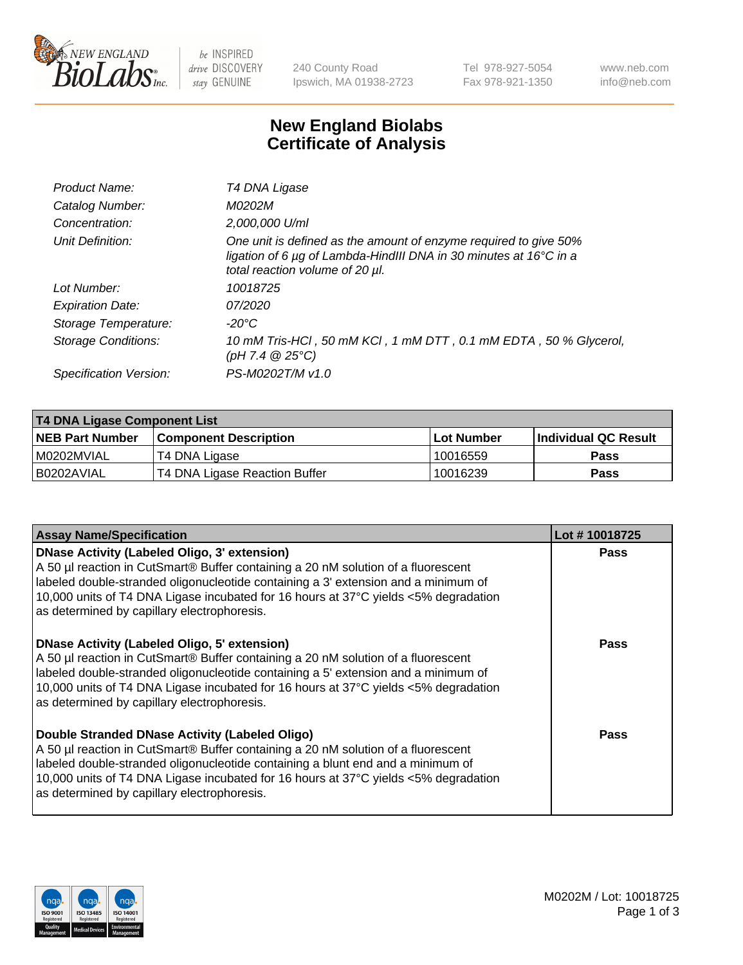

be INSPIRED drive DISCOVERY stay GENUINE

240 County Road Ipswich, MA 01938-2723 Tel 978-927-5054 Fax 978-921-1350 www.neb.com info@neb.com

## **New England Biolabs Certificate of Analysis**

| Product Name:              | T4 DNA Ligase                                                                                                                                                                           |
|----------------------------|-----------------------------------------------------------------------------------------------------------------------------------------------------------------------------------------|
| Catalog Number:            | M0202M                                                                                                                                                                                  |
| Concentration:             | 2,000,000 U/ml                                                                                                                                                                          |
| Unit Definition:           | One unit is defined as the amount of enzyme required to give 50%<br>ligation of 6 $\mu$ g of Lambda-HindIII DNA in 30 minutes at 16 $\degree$ C in a<br>total reaction volume of 20 µl. |
| Lot Number:                | 10018725                                                                                                                                                                                |
| <b>Expiration Date:</b>    | 07/2020                                                                                                                                                                                 |
| Storage Temperature:       | $-20^{\circ}$ C                                                                                                                                                                         |
| <b>Storage Conditions:</b> | 10 mM Tris-HCl, 50 mM KCl, 1 mM DTT, 0.1 mM EDTA, 50 % Glycerol,<br>(pH 7.4 $@25°C$ )                                                                                                   |
| Specification Version:     | PS-M0202T/M v1.0                                                                                                                                                                        |

| T4 DNA Ligase Component List |                               |              |                             |  |
|------------------------------|-------------------------------|--------------|-----------------------------|--|
| <b>NEB Part Number</b>       | l Component Description       | l Lot Number | <b>Individual QC Result</b> |  |
| I M0202MVIAL                 | T4 DNA Ligase                 | 10016559     | <b>Pass</b>                 |  |
| I B0202AVIAL                 | T4 DNA Ligase Reaction Buffer | 10016239     | <b>Pass</b>                 |  |

| <b>Assay Name/Specification</b>                                                                                                                                                                                                                                                                                                                               | Lot #10018725 |
|---------------------------------------------------------------------------------------------------------------------------------------------------------------------------------------------------------------------------------------------------------------------------------------------------------------------------------------------------------------|---------------|
| DNase Activity (Labeled Oligo, 3' extension)<br>A 50 µl reaction in CutSmart® Buffer containing a 20 nM solution of a fluorescent<br>labeled double-stranded oligonucleotide containing a 3' extension and a minimum of<br>10,000 units of T4 DNA Ligase incubated for 16 hours at 37°C yields <5% degradation<br>as determined by capillary electrophoresis. | <b>Pass</b>   |
| DNase Activity (Labeled Oligo, 5' extension)<br>A 50 µl reaction in CutSmart® Buffer containing a 20 nM solution of a fluorescent<br>labeled double-stranded oligonucleotide containing a 5' extension and a minimum of<br>10,000 units of T4 DNA Ligase incubated for 16 hours at 37°C yields <5% degradation<br>as determined by capillary electrophoresis. | <b>Pass</b>   |
| Double Stranded DNase Activity (Labeled Oligo)<br>A 50 µl reaction in CutSmart® Buffer containing a 20 nM solution of a fluorescent<br>abeled double-stranded oligonucleotide containing a blunt end and a minimum of<br>10,000 units of T4 DNA Ligase incubated for 16 hours at 37°C yields <5% degradation<br>as determined by capillary electrophoresis.   | Pass          |

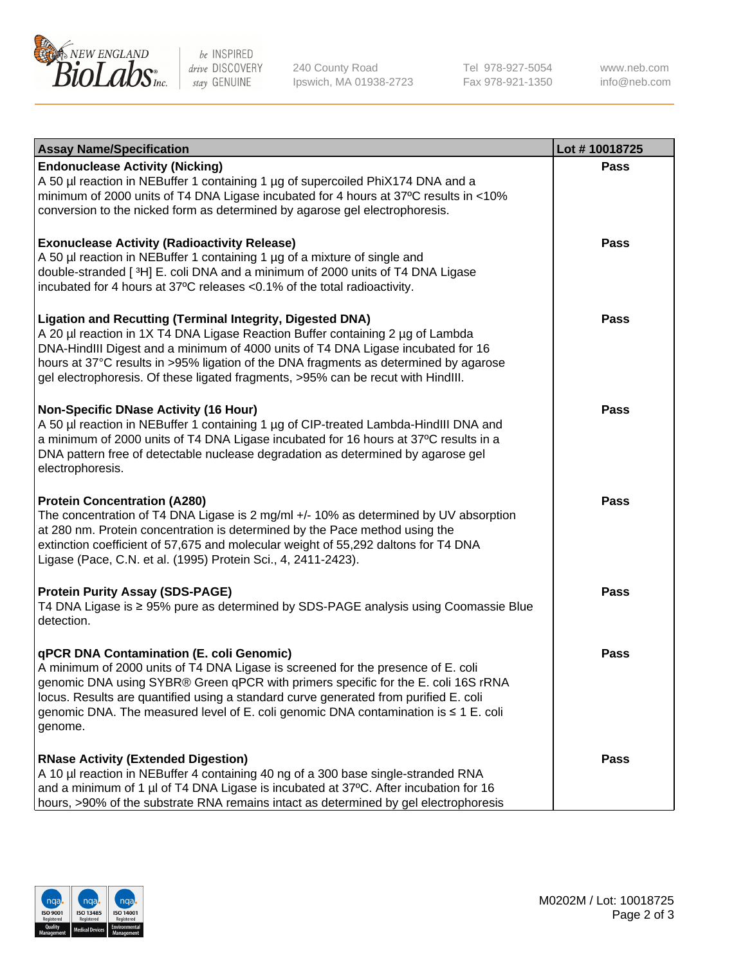

be INSPIRED drive DISCOVERY stay GENUINE

240 County Road Ipswich, MA 01938-2723 Tel 978-927-5054 Fax 978-921-1350 www.neb.com info@neb.com

| <b>Assay Name/Specification</b>                                                                                                                                                                                                                                                                                                                                                                                    | Lot #10018725 |
|--------------------------------------------------------------------------------------------------------------------------------------------------------------------------------------------------------------------------------------------------------------------------------------------------------------------------------------------------------------------------------------------------------------------|---------------|
| <b>Endonuclease Activity (Nicking)</b><br>A 50 µl reaction in NEBuffer 1 containing 1 µg of supercoiled PhiX174 DNA and a<br>minimum of 2000 units of T4 DNA Ligase incubated for 4 hours at 37°C results in <10%<br>conversion to the nicked form as determined by agarose gel electrophoresis.                                                                                                                   | <b>Pass</b>   |
| <b>Exonuclease Activity (Radioactivity Release)</b><br>A 50 µl reaction in NEBuffer 1 containing 1 µg of a mixture of single and<br>double-stranded [3H] E. coli DNA and a minimum of 2000 units of T4 DNA Ligase<br>incubated for 4 hours at 37°C releases <0.1% of the total radioactivity.                                                                                                                      | Pass          |
| <b>Ligation and Recutting (Terminal Integrity, Digested DNA)</b><br>A 20 µl reaction in 1X T4 DNA Ligase Reaction Buffer containing 2 µg of Lambda<br>DNA-HindIII Digest and a minimum of 4000 units of T4 DNA Ligase incubated for 16<br>hours at 37°C results in >95% ligation of the DNA fragments as determined by agarose<br>gel electrophoresis. Of these ligated fragments, >95% can be recut with HindIII. | Pass          |
| <b>Non-Specific DNase Activity (16 Hour)</b><br>A 50 µl reaction in NEBuffer 1 containing 1 µg of CIP-treated Lambda-HindIII DNA and<br>a minimum of 2000 units of T4 DNA Ligase incubated for 16 hours at 37°C results in a<br>DNA pattern free of detectable nuclease degradation as determined by agarose gel<br>electrophoresis.                                                                               | Pass          |
| <b>Protein Concentration (A280)</b><br>The concentration of T4 DNA Ligase is 2 mg/ml +/- 10% as determined by UV absorption<br>at 280 nm. Protein concentration is determined by the Pace method using the<br>extinction coefficient of 57,675 and molecular weight of 55,292 daltons for T4 DNA<br>Ligase (Pace, C.N. et al. (1995) Protein Sci., 4, 2411-2423).                                                  | Pass          |
| <b>Protein Purity Assay (SDS-PAGE)</b><br>T4 DNA Ligase is ≥ 95% pure as determined by SDS-PAGE analysis using Coomassie Blue<br>detection.                                                                                                                                                                                                                                                                        | <b>Pass</b>   |
| qPCR DNA Contamination (E. coli Genomic)<br>A minimum of 2000 units of T4 DNA Ligase is screened for the presence of E. coli<br>genomic DNA using SYBR® Green qPCR with primers specific for the E. coli 16S rRNA<br>locus. Results are quantified using a standard curve generated from purified E. coli<br>genomic DNA. The measured level of E. coli genomic DNA contamination is ≤ 1 E. coli<br>genome.        | Pass          |
| <b>RNase Activity (Extended Digestion)</b><br>A 10 µl reaction in NEBuffer 4 containing 40 ng of a 300 base single-stranded RNA<br>and a minimum of 1 µl of T4 DNA Ligase is incubated at 37°C. After incubation for 16<br>hours, >90% of the substrate RNA remains intact as determined by gel electrophoresis                                                                                                    | Pass          |